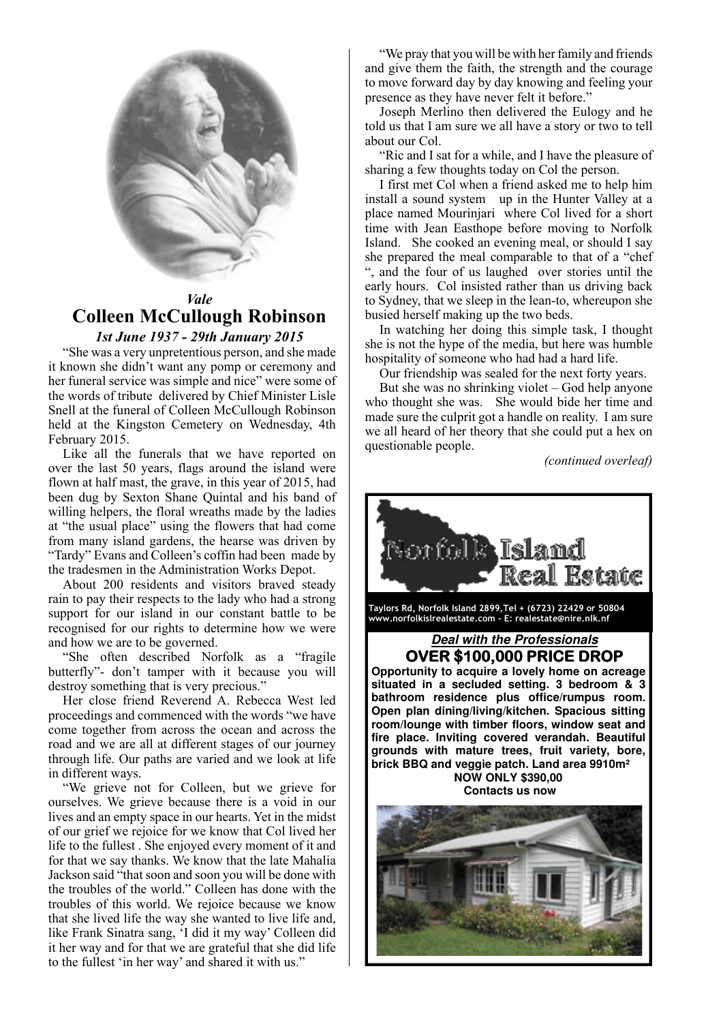

# *Vale* **Colleen McCullough Robinson**

*1st June 1937 - 29th January 2015*

"She was a very unpretentious person, and she made it known she didn't want any pomp or ceremony and her funeral service was simple and nice" were some of the words of tribute delivered by Chief Minister Lisle Snell at the funeral of Colleen McCullough Robinson held at the Kingston Cemetery on Wednesday, 4th February 2015.

Like all the funerals that we have reported on over the last 50 years, flags around the island were flown at half mast, the grave, in this year of 2015, had been dug by Sexton Shane Quintal and his band of willing helpers, the floral wreaths made by the ladies at "the usual place" using the flowers that had come from many island gardens, the hearse was driven by "Tardy" Evans and Colleen's coffin had been made by the tradesmen in the Administration Works Depot.

About 200 residents and visitors braved steady rain to pay their respects to the lady who had a strong support for our island in our constant battle to be recognised for our rights to determine how we were and how we are to be governed.

"She often described Norfolk as a "fragile butterfly"- don't tamper with it because you will destroy something that is very precious."

Her close friend Reverend A. Rebecca West led proceedings and commenced with the words "we have come together from across the ocean and across the road and we are all at different stages of our journey through life. Our paths are varied and we look at life in different ways.

"We grieve not for Colleen, but we grieve for ourselves. We grieve because there is a void in our lives and an empty space in our hearts. Yet in the midst of our grief we rejoice for we know that Col lived her life to the fullest . She enjoyed every moment of it and for that we say thanks. We know that the late Mahalia Jackson said "that soon and soon you will be done with the troubles of the world." Colleen has done with the troubles of this world. We rejoice because we know that she lived life the way she wanted to live life and, like Frank Sinatra sang, 'I did it my way' Colleen did it her way and for that we are grateful that she did life to the fullest 'in her way' and shared it with us."

"We pray that you will be with her family and friends and give them the faith, the strength and the courage to move forward day by day knowing and feeling your presence as they have never felt it before."

Joseph Merlino then delivered the Eulogy and he told us that I am sure we all have a story or two to tell about our Col.

"Ric and I sat for a while, and I have the pleasure of sharing a few thoughts today on Col the person.

I first met Col when a friend asked me to help him install a sound system up in the Hunter Valley at a place named Mourinjari where Col lived for a short time with Jean Easthope before moving to Norfolk Island. She cooked an evening meal, or should I say she prepared the meal comparable to that of a "chef ", and the four of us laughed over stories until the early hours. Col insisted rather than us driving back to Sydney, that we sleep in the lean-to, whereupon she busied herself making up the two beds.

In watching her doing this simple task, I thought she is not the hype of the media, but here was humble hospitality of someone who had had a hard life.

Our friendship was sealed for the next forty years.

But she was no shrinking violet – God help anyone who thought she was. She would bide her time and made sure the culprit got a handle on reality. I am sure we all heard of her theory that she could put a hex on questionable people.

*(continued overleaf)*

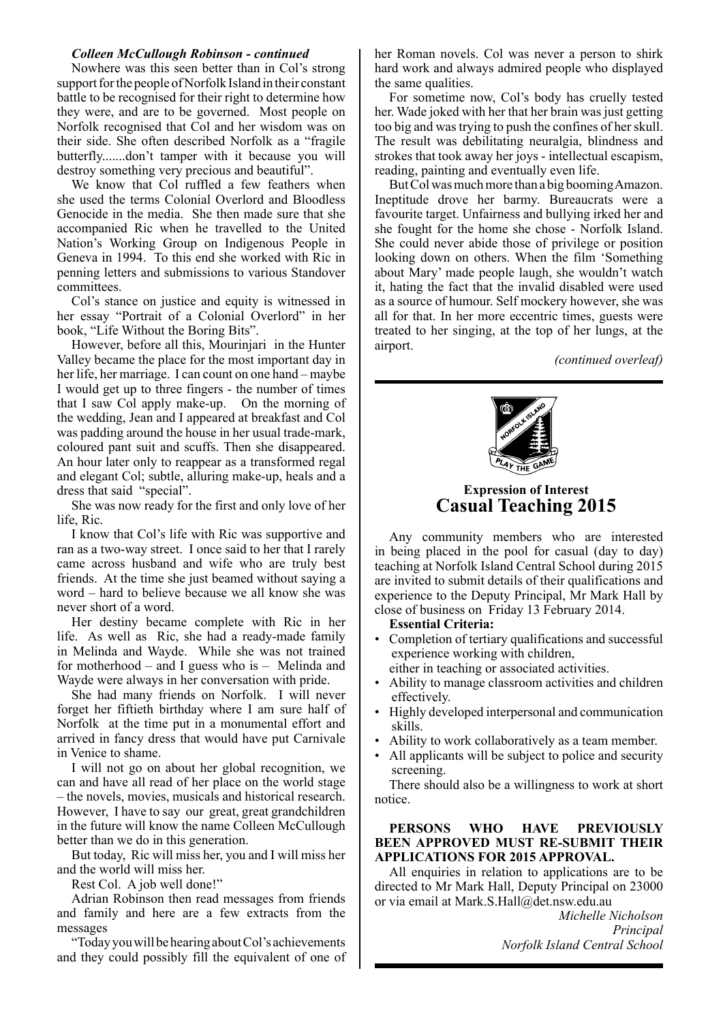### *Colleen McCullough Robinson - continued*

Nowhere was this seen better than in Col's strong support for the people of Norfolk Island in their constant battle to be recognised for their right to determine how they were, and are to be governed. Most people on Norfolk recognised that Col and her wisdom was on their side. She often described Norfolk as a "fragile butterfly.......don't tamper with it because you will destroy something very precious and beautiful".

We know that Col ruffled a few feathers when she used the terms Colonial Overlord and Bloodless Genocide in the media. She then made sure that she accompanied Ric when he travelled to the United Nation's Working Group on Indigenous People in Geneva in 1994. To this end she worked with Ric in penning letters and submissions to various Standover committees.

Col's stance on justice and equity is witnessed in her essay "Portrait of a Colonial Overlord" in her book, "Life Without the Boring Bits".

However, before all this, Mourinjari in the Hunter Valley became the place for the most important day in her life, her marriage. I can count on one hand – maybe I would get up to three fingers - the number of times that I saw Col apply make-up. On the morning of the wedding, Jean and I appeared at breakfast and Col was padding around the house in her usual trade-mark, coloured pant suit and scuffs. Then she disappeared. An hour later only to reappear as a transformed regal and elegant Col; subtle, alluring make-up, heals and a dress that said "special".

She was now ready for the first and only love of her life, Ric.

I know that Col's life with Ric was supportive and ran as a two-way street. I once said to her that I rarely came across husband and wife who are truly best friends. At the time she just beamed without saying a word – hard to believe because we all know she was never short of a word.

Her destiny became complete with Ric in her life. As well as Ric, she had a ready-made family in Melinda and Wayde. While she was not trained for motherhood – and I guess who is – Melinda and Wayde were always in her conversation with pride.

She had many friends on Norfolk. I will never forget her fiftieth birthday where I am sure half of Norfolk at the time put in a monumental effort and arrived in fancy dress that would have put Carnivale in Venice to shame.

I will not go on about her global recognition, we can and have all read of her place on the world stage – the novels, movies, musicals and historical research. However, I have to say our great, great grandchildren in the future will know the name Colleen McCullough better than we do in this generation.

But today, Ric will miss her, you and I will miss her and the world will miss her.

Rest Col. A job well done!"

Adrian Robinson then read messages from friends and family and here are a few extracts from the messages

"Today you will be hearing about Col's achievements and they could possibly fill the equivalent of one of her Roman novels. Col was never a person to shirk hard work and always admired people who displayed the same qualities.

For sometime now, Col's body has cruelly tested her. Wade joked with her that her brain was just getting too big and was trying to push the confines of her skull. The result was debilitating neuralgia, blindness and strokes that took away her joys - intellectual escapism, reading, painting and eventually even life.

But Col was much more than a big booming Amazon. Ineptitude drove her barmy. Bureaucrats were a favourite target. Unfairness and bullying irked her and she fought for the home she chose - Norfolk Island. She could never abide those of privilege or position looking down on others. When the film 'Something about Mary' made people laugh, she wouldn't watch it, hating the fact that the invalid disabled were used as a source of humour. Self mockery however, she was all for that. In her more eccentric times, guests were treated to her singing, at the top of her lungs, at the airport.

*(continued overleaf)*



## **Expression of Interest Casual Teaching 2015**

Any community members who are interested in being placed in the pool for casual (day to day) teaching at Norfolk Island Central School during 2015 are invited to submit details of their qualifications and experience to the Deputy Principal, Mr Mark Hall by close of business on Friday 13 February 2014.

**Essential Criteria:**

- Completion of tertiary qualifications and successful experience working with children,
	- either in teaching or associated activities.
- Ability to manage classroom activities and children effectively.
- Highly developed interpersonal and communication skills.
- Ability to work collaboratively as a team member.
- All applicants will be subject to police and security screening.

There should also be a willingness to work at short notice.

## **PERSONS WHO HAVE PREVIOUSLY BEEN APPROVED MUST RE-SUBMIT THEIR APPLICATIONS FOR 2015 APPROVAL.**

All enquiries in relation to applications are to be directed to Mr Mark Hall, Deputy Principal on 23000 or via email at Mark.S.Hall@det.nsw.edu.au

> *Michelle Nicholson Principal Norfolk Island Central School*